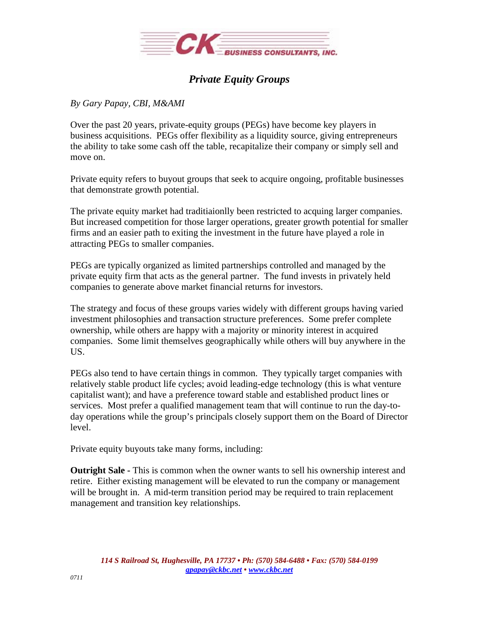

## *Private Equity Groups*

## *By Gary Papay, CBI, M&AMI*

Over the past 20 years, private-equity groups (PEGs) have become key players in business acquisitions. PEGs offer flexibility as a liquidity source, giving entrepreneurs the ability to take some cash off the table, recapitalize their company or simply sell and move on.

Private equity refers to buyout groups that seek to acquire ongoing, profitable businesses that demonstrate growth potential.

The private equity market had traditiaionlly been restricted to acquing larger companies. But increased competition for those larger operations, greater growth potential for smaller firms and an easier path to exiting the investment in the future have played a role in attracting PEGs to smaller companies.

PEGs are typically organized as limited partnerships controlled and managed by the private equity firm that acts as the general partner. The fund invests in privately held companies to generate above market financial returns for investors.

The strategy and focus of these groups varies widely with different groups having varied investment philosophies and transaction structure preferences. Some prefer complete ownership, while others are happy with a majority or minority interest in acquired companies. Some limit themselves geographically while others will buy anywhere in the US.

PEGs also tend to have certain things in common. They typically target companies with relatively stable product life cycles; avoid leading-edge technology (this is what venture capitalist want); and have a preference toward stable and established product lines or services. Most prefer a qualified management team that will continue to run the day-today operations while the group's principals closely support them on the Board of Director level.

Private equity buyouts take many forms, including:

**Outright Sale -** This is common when the owner wants to sell his ownership interest and retire. Either existing management will be elevated to run the company or management will be brought in. A mid-term transition period may be required to train replacement management and transition key relationships.